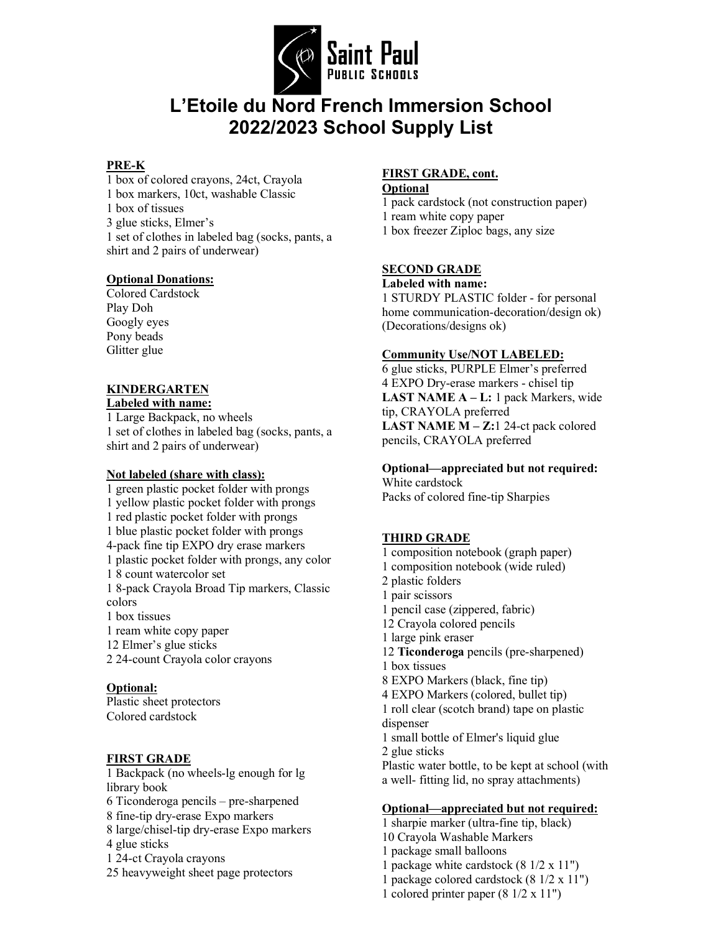

# **L'Etoile du Nord French Immersion School 2022/2023 School Supply List**

### **PRE-K**

1 box of colored crayons, 24ct, Crayola 1 box markers, 10ct, washable Classic 1 box of tissues 3 glue sticks, Elmer's 1 set of clothes in labeled bag (socks, pants, a shirt and 2 pairs of underwear)

#### **Optional Donations:**

Colored Cardstock Play Doh Googly eyes Pony beads Glitter glue

# **KINDERGARTEN**

**Labeled with name:** 1 Large Backpack, no wheels 1 set of clothes in labeled bag (socks, pants, a shirt and 2 pairs of underwear)

#### **Not labeled (share with class):**

1 green plastic pocket folder with prongs 1 yellow plastic pocket folder with prongs 1 red plastic pocket folder with prongs 1 blue plastic pocket folder with prongs 4-pack fine tip EXPO dry erase markers 1 plastic pocket folder with prongs, any color 1 8 count watercolor set 1 8-pack Crayola Broad Tip markers, Classic colors 1 box tissues 1 ream white copy paper 12 Elmer's glue sticks 2 24-count Crayola color crayons **Optional:**

Plastic sheet protectors Colored cardstock

# **FIRST GRADE**

1 Backpack (no wheels-lg enough for lg library book 6 Ticonderoga pencils – pre-sharpened 8 fine-tip dry-erase Expo markers 8 large/chisel-tip dry-erase Expo markers 4 glue sticks 1 24-ct Crayola crayons

25 heavyweight sheet page protectors

# **FIRST GRADE, cont.**

**Optional**

1 pack cardstock (not construction paper) 1 ream white copy paper 1 box freezer Ziploc bags, any size

#### **SECOND GRADE**

#### **Labeled with name:**

1 STURDY PLASTIC folder - for personal home communication-decoration/design ok) (Decorations/designs ok)

#### **Community Use/NOT LABELED:**

6 glue sticks, PURPLE Elmer's preferred 4 EXPO Dry-erase markers - chisel tip **LAST NAME A – L:** 1 pack Markers, wide tip, CRAYOLA preferred **LAST NAME M – Z:**1 24-ct pack colored pencils, CRAYOLA preferred

# **Optional—appreciated but not required:**

White cardstock Packs of colored fine-tip Sharpies

# **THIRD GRADE**

- 1 composition notebook (graph paper)
- 1 composition notebook (wide ruled)
- 2 plastic folders
- 1 pair scissors
- 1 pencil case (zippered, fabric)
- 12 Crayola colored pencils
- 1 large pink eraser
- 12 **Ticonderoga** pencils (pre-sharpened) 1 box tissues
- 8 EXPO Markers (black, fine tip)
- 4 EXPO Markers (colored, bullet tip)

1 roll clear (scotch brand) tape on plastic dispenser

- 1 small bottle of Elmer's liquid glue
- 2 glue sticks

Plastic water bottle, to be kept at school (with a well- fitting lid, no spray attachments)

#### **Optional—appreciated but not required:**

1 sharpie marker (ultra-fine tip, black) 10 Crayola Washable Markers 1 package small balloons 1 package white cardstock (8 1/2 x 11") 1 package colored cardstock (8 1/2 x 11") 1 colored printer paper (8 1/2 x 11")